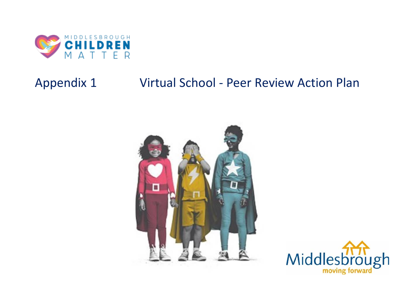

## Appendix 1 Virtual School - Peer Review Action Plan



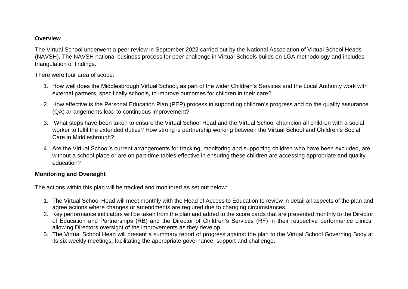## **Overview**

The Virtual School underwent a peer review in September 2022 carried out by the National Association of Virtual School Heads (NAVSH). The NAVSH national business process for peer challenge in Virtual Schools builds on LGA methodology and includes triangulation of findings.

There were four area of scope:

- 1. How well does the Middlesbrough Virtual School, as part of the wider Children's Services and the Local Authority work with external partners, specifically schools, to improve outcomes for children in their care?
- 2. How effective is the Personal Education Plan (PEP) process in supporting children's progress and do the quality assurance (QA) arrangements lead to continuous improvement?
- 3. What steps have been taken to ensure the Virtual School Head and the Virtual School champion all children with a social worker to fulfil the extended duties? How strong is partnership working between the Virtual School and Children's Social Care in Middlesbrough?
- 4. Are the Virtual School's current arrangements for tracking, monitoring and supporting children who have been excluded, are without a school place or are on part-time tables effective in ensuring these children are accessing appropriate and quality education?

## **Monitoring and Oversight**

The actions within this plan will be tracked and monitored as set out below:

- 1. The Virtual School Head will meet monthly with the Head of Access to Education to review in detail all aspects of the plan and agree actions where changes or amendments are required due to changing circumstances.
- 2. Key performance indicators will be taken from the plan and added to the score cards that are presented monthly to the Director of Education and Partnerships (RB) and the Director of Children's Services (RF) in their respective performance clinics, allowing Directors oversight of the improvements as they develop.
- 3. The Virtual School Head will present a summary report of progress against the plan to the Virtual School Governing Body at its six weekly meetings, facilitating the appropriate governance, support and challenge.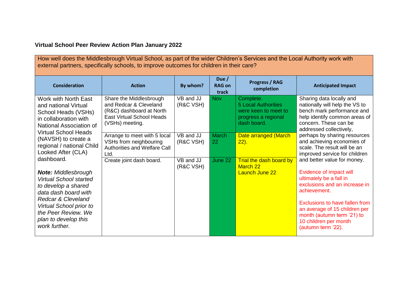## **Virtual School Peer Review Action Plan January 2022**

How well does the Middlesbrough Virtual School, as part of the wider Children's Services and the Local Authority work with external partners, specifically schools, to improve outcomes for children in their care?

| <b>Consideration</b>                                                                                                                                                                                                                                 | <b>Action</b>                                                                                                                        | By whom?               | Due /<br><b>RAG on</b><br>track | <b>Progress / RAG</b><br>completion                                                                   | <b>Anticipated Impact</b>                                                                                                                                                                                                                                                          |
|------------------------------------------------------------------------------------------------------------------------------------------------------------------------------------------------------------------------------------------------------|--------------------------------------------------------------------------------------------------------------------------------------|------------------------|---------------------------------|-------------------------------------------------------------------------------------------------------|------------------------------------------------------------------------------------------------------------------------------------------------------------------------------------------------------------------------------------------------------------------------------------|
| Work with North East<br>and national Virtual<br>School Heads (VSHs)<br>in collaboration with<br>National Association of                                                                                                                              | Share the Middlesbrough<br>and Redcar & Cleveland<br>(R&C) dashboard at North<br><b>East Virtual School Heads</b><br>(VSHs) meeting. | VB and JJ<br>(R&C VSH) | <b>Nov</b>                      | Complete.<br><b>5 Local Authorities</b><br>were keen to meet to<br>progress a regional<br>dash board. | Sharing data locally and<br>nationally will help the VS to<br>bench mark performance and<br>help identify common areas of<br>concern. These can be<br>addressed collectively,                                                                                                      |
| (NAVSH) to create a<br>regional / national Child<br>Looked After (CLA)                                                                                                                                                                               | <b>Virtual School Heads</b><br>Arrange to meet with 5 local<br>VSHs from neighbouring<br>Authorities and Welfare Call<br>Ltd.        | VB and JJ<br>(R&C VSH) | <b>March</b><br>22              | Date arranged (March<br>$22$ ).                                                                       | perhaps by sharing resources<br>and achieving economies of<br>scale. The result will be an<br>improved service for children                                                                                                                                                        |
| dashboard.<br><b>Note: Middlesbrough</b><br><b>Virtual School started</b><br>to develop a shared<br>data dash board with<br><b>Redcar &amp; Cleveland</b><br>Virtual School prior to<br>the Peer Review. We<br>plan to develop this<br>work further. | Create joint dash board.                                                                                                             | VB and JJ<br>(R&C VSH) | June 22                         | Trial the dash board by<br>March 22<br>Launch June 22                                                 | and better value for money.<br>Evidence of impact will<br>ultimately be a fall in<br>exclusions and an increase in<br>achievement.<br>Exclusions to have fallen from<br>an average of 15 children per<br>month (autumn term '21) to<br>10 children per month<br>(autumn term '22). |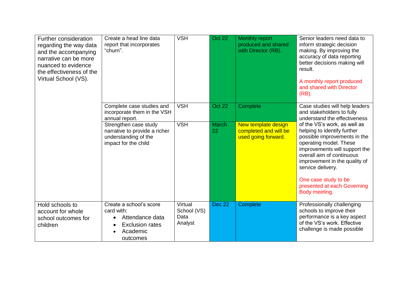| Further consideration<br>regarding the way data<br>and the accompanying<br>narrative can be more<br>nuanced to evidence<br>the effectiveness of the<br>Virtual School (VS). | Create a head line data<br>report that incorporates<br>"churn".                                                                                                                      | <b>VSH</b>                                | <b>Oct 22</b>                | Monthly report<br>produced and shared<br>with Director (RB).                    | Senior leaders need data to<br>inform strategic decision<br>making. By improving the<br>accuracy of data reporting<br>better decisions making will<br>result.<br>A monthly report produced<br>and shared with Director<br>(RB).                                                                                                                                                                                  |
|-----------------------------------------------------------------------------------------------------------------------------------------------------------------------------|--------------------------------------------------------------------------------------------------------------------------------------------------------------------------------------|-------------------------------------------|------------------------------|---------------------------------------------------------------------------------|------------------------------------------------------------------------------------------------------------------------------------------------------------------------------------------------------------------------------------------------------------------------------------------------------------------------------------------------------------------------------------------------------------------|
|                                                                                                                                                                             | Complete case studies and<br>incorporate them in the VSH<br>annual report.<br>Strengthen case study<br>narrative to provide a richer<br>understanding of the<br>impact for the child | <b>VSH</b><br><b>VSH</b>                  | Oct 22<br><b>March</b><br>22 | Complete<br>New template design<br>completed and will be<br>used going forward. | Case studies will help leaders<br>and stakeholders to fully<br>understand the effectiveness<br>of the VS's work, as well as<br>helping to identify further<br>possible improvements in the<br>operating model. These<br>improvements will support the<br>overall aim of continuous<br>improvement in the quality of<br>service delivery.<br>One case study to be<br>presented at each Governing<br>Body meeting. |
| Hold schools to<br>account for whole<br>school outcomes for<br>children                                                                                                     | Create a school's score<br>card with:<br>Attendance data<br><b>Exclusion rates</b><br>$\bullet$<br>Academic<br>outcomes                                                              | Virtual<br>School (VS)<br>Data<br>Analyst | <b>Dec 22</b>                | Complete                                                                        | Professionally challenging<br>schools to improve their<br>performance is a key aspect<br>of the VS's work. Effective<br>challenge is made possible                                                                                                                                                                                                                                                               |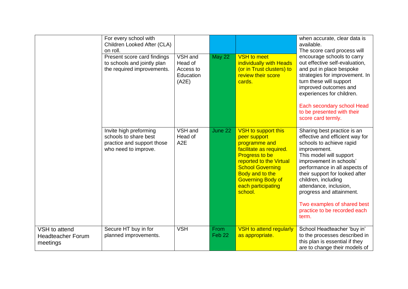|                                                       | For every school with<br>Children Looked After (CLA)<br>on roll.<br>Present score card findings<br>to schools and jointly plan<br>the required improvements. | $VSH$ and<br>Head of<br>Access to<br>Education<br>(A2E) | <b>May 22</b>             | <b>VSH</b> to meet<br>individually with Heads<br>(or in Trust clusters) to<br>review their score<br>cards.                                                                                                                                            | when accurate, clear data is<br>available.<br>The score card process will<br>encourage schools to carry<br>out effective self-evaluation,<br>and put in place bespoke<br>strategies for improvement. In<br>turn these will support<br>improved outcomes and<br>experiences for children.<br>Each secondary school Head<br>to be presented with their<br>score card termly.               |
|-------------------------------------------------------|--------------------------------------------------------------------------------------------------------------------------------------------------------------|---------------------------------------------------------|---------------------------|-------------------------------------------------------------------------------------------------------------------------------------------------------------------------------------------------------------------------------------------------------|------------------------------------------------------------------------------------------------------------------------------------------------------------------------------------------------------------------------------------------------------------------------------------------------------------------------------------------------------------------------------------------|
|                                                       | Invite high preforming<br>schools to share best<br>practice and support those<br>who need to improve.                                                        | VSH and<br>Head of<br>A <sub>2</sub> E                  | June 22                   | <b>VSH</b> to support this<br>peer support<br>programme and<br>facilitate as required.<br><b>Progress to be</b><br>reported to the Virtual<br><b>School Governing</b><br>Body and to the<br><b>Governing Body of</b><br>each participating<br>school. | Sharing best practice is an<br>effective and efficient way for<br>schools to achieve rapid<br>improvement.<br>This model will support<br>improvement in schools'<br>performance in all aspects of<br>their support for looked after<br>children, including<br>attendance, inclusion,<br>progress and attainment.<br>Two examples of shared best<br>practice to be recorded each<br>term. |
| VSH to attend<br><b>Headteacher Forum</b><br>meetings | Secure HT buy in for<br>planned improvements.                                                                                                                | <b>VSH</b>                                              | From<br>Feb <sub>22</sub> | <b>VSH to attend regularly</b><br>as appropriate.                                                                                                                                                                                                     | School Headteacher 'buy in'<br>to the processes described in<br>this plan is essential if they<br>are to change their models of                                                                                                                                                                                                                                                          |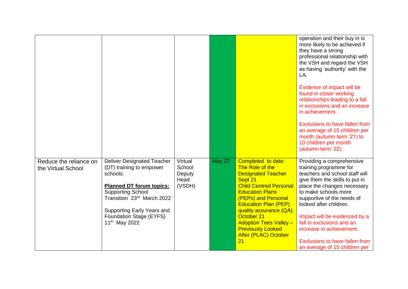|                                              |                                                                                                                                                                                                                                                              |                                               |               |                                                                                                                                                                                                                                                                                                                                           | operation and their buy in is<br>more likely to be achieved if<br>they have a strong<br>professional relationship with<br>the VSH and regard the VSH<br>as having 'authority' with the<br>LA.<br>Evidence of impact will be<br>found in closer working<br>relationships leading to a fall<br>in exclusions and an increase<br>in achievement.<br>Exclusions to have fallen from<br>an average of 15 children per<br>month (autumn term '21) to<br>10 children per month<br>(autumn term '22). |
|----------------------------------------------|--------------------------------------------------------------------------------------------------------------------------------------------------------------------------------------------------------------------------------------------------------------|-----------------------------------------------|---------------|-------------------------------------------------------------------------------------------------------------------------------------------------------------------------------------------------------------------------------------------------------------------------------------------------------------------------------------------|-----------------------------------------------------------------------------------------------------------------------------------------------------------------------------------------------------------------------------------------------------------------------------------------------------------------------------------------------------------------------------------------------------------------------------------------------------------------------------------------------|
| Reduce the reliance on<br>the Virtual School | <b>Deliver Designated Teacher</b><br>(DT) training to empower<br>schools:<br><b>Planned DT forum topics:</b><br><b>Supporting School</b><br>Transition 23rd March 2022<br>Supporting Early Years and<br>Foundation Stage (EYFS)<br>11 <sup>th</sup> May 2022 | Virtual<br>School<br>Deputy<br>Head<br>(VSDH) | <b>May 22</b> | Completed to date:<br>The Role of the<br><b>Designated Teacher</b><br>Sept 21<br><b>Child Centred Personal</b><br><b>Education Plans</b><br>(PEPs) and Personal<br><b>Education Plan (PEP)</b><br>quality assurance (QA).<br>October 21<br><b>Adoption Tees Valley -</b><br><b>Previously Looked</b><br><b>After (PLAC) October</b><br>21 | Providing a comprehensive<br>training programme for<br>teachers and school staff will<br>give them the skills to put in<br>place the changes necessary<br>to make schools more<br>supportive of the needs of<br>looked after children.<br>Impact will be evidenced by a<br>fall in exclusions and an<br>increase in achievement.<br>Exclusions to have fallen from<br>an average of 15 children per                                                                                           |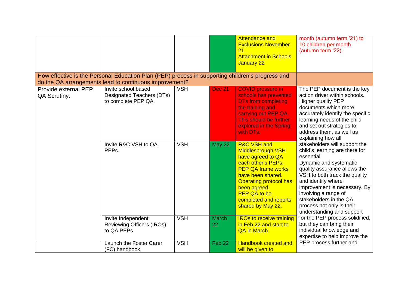|                                                                                                                                                            |                                                                         |            |                    | <b>Attendance and</b><br><b>Exclusions November</b><br>21<br><b>Attachment in Schools</b><br>January 22                                                                                                                                                               | month (autumn term '21) to<br>10 children per month<br>(autumn term '22).                                                                                                                                                                                                                                                                  |
|------------------------------------------------------------------------------------------------------------------------------------------------------------|-------------------------------------------------------------------------|------------|--------------------|-----------------------------------------------------------------------------------------------------------------------------------------------------------------------------------------------------------------------------------------------------------------------|--------------------------------------------------------------------------------------------------------------------------------------------------------------------------------------------------------------------------------------------------------------------------------------------------------------------------------------------|
| How effective is the Personal Education Plan (PEP) process in supporting children's progress and<br>do the QA arrangements lead to continuous improvement? |                                                                         |            |                    |                                                                                                                                                                                                                                                                       |                                                                                                                                                                                                                                                                                                                                            |
| Provide external PEP<br>QA Scrutiny.                                                                                                                       | Invite school based<br>Designated Teachers (DTs)<br>to complete PEP QA. | <b>VSH</b> | <b>Dec 21</b>      | <b>COVID pressure in</b><br>schools has prevented<br><b>DTs from completing</b><br>the training and<br>carrying out PEP QA.<br>This should be further<br>explored in the Spring<br>with DTs.                                                                          | The PEP document is the key<br>action driver within schools.<br><b>Higher quality PEP</b><br>documents which more<br>accurately identify the specific<br>learning needs of the child<br>and set out strategies to<br>address them, as well as<br>explaining how all                                                                        |
|                                                                                                                                                            | Invite R&C VSH to QA<br>PEPs.                                           | <b>VSH</b> | <b>May 22</b>      | <b>R&amp;C VSH and</b><br><b>Middlesbrough VSH</b><br>have agreed to QA<br>each other's PEPs.<br><b>PEP QA frame works</b><br>have been shared.<br><b>Operating protocol has</b><br>been agreed.<br><b>PEP QA to be</b><br>completed and reports<br>shared by May 22. | stakeholders will support the<br>child's learning are there for<br>essential.<br>Dynamic and systematic<br>quality assurance allows the<br>VSH to both track the quality<br>and identify where<br>improvement is necessary. By<br>involving a range of<br>stakeholders in the QA<br>process not only is their<br>understanding and support |
|                                                                                                                                                            | Invite Independent<br><b>Reviewing Officers (IROs)</b><br>to QA PEPs    | <b>VSH</b> | <b>March</b><br>22 | <b>IROs to receive training</b><br>in Feb 22 and start to<br>QA in March.                                                                                                                                                                                             | for the PEP process solidified,<br>but they can bring their<br>individual knowledge and<br>expertise to help improve the                                                                                                                                                                                                                   |
|                                                                                                                                                            | Launch the Foster Carer<br>(FC) handbook.                               | <b>VSH</b> | Feb 22             | <b>Handbook created and</b><br>will be given to                                                                                                                                                                                                                       | PEP process further and                                                                                                                                                                                                                                                                                                                    |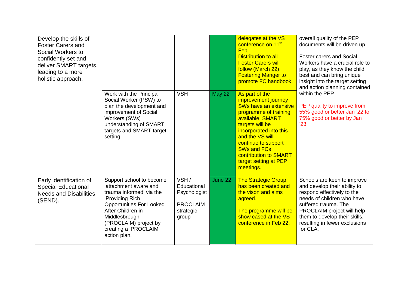| Develop the skills of<br><b>Foster Carers and</b><br>Social Workers to<br>confidently set and<br>deliver SMART targets,<br>leading to a more<br>holistic approach. |                                                                                                                                                                                                                                              |                                                                              |               | delegates at the VS<br>conference on 11 <sup>th</sup><br>Feb.<br>Distribution to all<br><b>Foster Carers will</b><br>follow (March 22).<br><b>Fostering Manger to</b><br>promote FC handbook.                                                                                           | overall quality of the PEP<br>documents will be driven up.<br><b>Foster carers and Social</b><br>Workers have a crucial role to<br>play, as they know the child<br>best and can bring unique<br>insight into the target setting<br>and action planning contained |
|--------------------------------------------------------------------------------------------------------------------------------------------------------------------|----------------------------------------------------------------------------------------------------------------------------------------------------------------------------------------------------------------------------------------------|------------------------------------------------------------------------------|---------------|-----------------------------------------------------------------------------------------------------------------------------------------------------------------------------------------------------------------------------------------------------------------------------------------|------------------------------------------------------------------------------------------------------------------------------------------------------------------------------------------------------------------------------------------------------------------|
|                                                                                                                                                                    | Work with the Principal<br>Social Worker (PSW) to<br>plan the development and<br>improvement of Social<br>Workers (SWs)<br>understanding of SMART<br>targets and SMART target<br>setting.                                                    | <b>VSH</b>                                                                   | <b>May 22</b> | As part of the<br>improvement journey<br>SWs have an extensive<br>programme of training<br>available, SMART<br>targets will be<br>incorporated into this<br>and the VS will<br>continue to support<br><b>SWs and FCs</b><br>contribution to SMART<br>target setting at PEP<br>meetings. | within the PEP.<br>PEP quality to improve from<br>55% good or better Jan '22 to<br>75% good or better by Jan<br>23.                                                                                                                                              |
| Early identification of<br><b>Special Educational</b><br><b>Needs and Disabilities</b><br>(SEND).                                                                  | Support school to become<br>'attachment aware and<br>trauma informed' via the<br>'Providing Rich<br><b>Opportunities For Looked</b><br>After Children in<br>Middlesbrough'<br>(PROCLAIM) project by<br>creating a 'PROCLAIM'<br>action plan. | VSH/<br>Educational<br>Psychologist<br><b>PROCLAIM</b><br>strategic<br>group | June 22       | <b>The Strategic Group</b><br>has been created and<br>the vison and aims<br>agreed.<br>The programme will be<br>show cased at the VS<br>conference in Feb 22.                                                                                                                           | Schools are keen to improve<br>and develop their ability to<br>respond effectively to the<br>needs of children who have<br>suffered trauma. The<br>PROCLAIM project will help<br>them to develop their skills,<br>resulting in fewer exclusions<br>for CLA.      |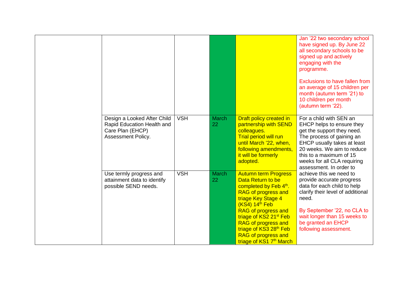|                                                                                                     |            |                    |                                                                                                                                                                                                                                                                                                                                                       | Jan '22 two secondary school<br>have signed up. By June 22<br>all secondary schools to be<br>signed up and actively<br>engaging with the<br>programme.<br>Exclusions to have fallen from<br>an average of 15 children per<br>month (autumn term '21) to<br>10 children per month<br>(autumn term '22). |
|-----------------------------------------------------------------------------------------------------|------------|--------------------|-------------------------------------------------------------------------------------------------------------------------------------------------------------------------------------------------------------------------------------------------------------------------------------------------------------------------------------------------------|--------------------------------------------------------------------------------------------------------------------------------------------------------------------------------------------------------------------------------------------------------------------------------------------------------|
| Design a Looked After Child<br>Rapid Education Health and<br>Care Plan (EHCP)<br>Assessment Policy. | <b>VSH</b> | March<br>22        | Draft policy created in<br>partnership with SEND<br>colleagues.<br><b>Trial period will run</b><br>until March '22, when,<br>following amendments,<br>it will be formerly<br>adopted.                                                                                                                                                                 | For a child with SEN an<br>EHCP helps to ensure they<br>get the support they need.<br>The process of gaining an<br><b>EHCP usually takes at least</b><br>20 weeks. We aim to reduce<br>this to a maximum of 15<br>weeks for all CLA requiring<br>assessment. In order to                               |
| Use termly progress and<br>attainment data to identify<br>possible SEND needs.                      | <b>VSH</b> | <b>March</b><br>22 | <b>Autumn term Progress</b><br>Data Return to be<br>completed by Feb 4th.<br>RAG of progress and<br>triage Key Stage 4<br>$(KS4)$ 14 <sup>th</sup> Feb<br>RAG of progress and<br>triage of KS2 21 <sup>st</sup> Feb<br><b>RAG of progress and</b><br>triage of KS3 28 <sup>th</sup> Feb<br>RAG of progress and<br>triage of KS1 7 <sup>th</sup> March | achieve this we need to<br>provide accurate progress<br>data for each child to help<br>clarify their level of additional<br>need.<br>By September '22, no CLA to<br>wait longer than 15 weeks to<br>be granted an EHCP<br>following assessment.                                                        |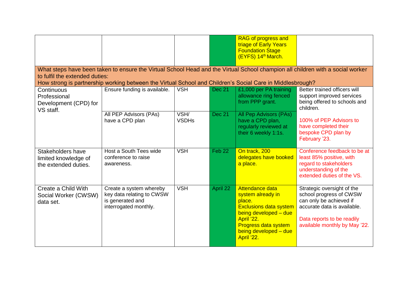|                                                                   |                                                                                                                                                                                                                                                                               |                      |               | <b>RAG of progress and</b><br>triage of Early Years<br><b>Foundation Stage</b><br>(EYFS) 14th March.                                                                                         |                                                                                                                                                                                |  |  |  |  |  |
|-------------------------------------------------------------------|-------------------------------------------------------------------------------------------------------------------------------------------------------------------------------------------------------------------------------------------------------------------------------|----------------------|---------------|----------------------------------------------------------------------------------------------------------------------------------------------------------------------------------------------|--------------------------------------------------------------------------------------------------------------------------------------------------------------------------------|--|--|--|--|--|
|                                                                   | What steps have been taken to ensure the Virtual School Head and the Virtual School champion all children with a social worker<br>to fulfil the extended duties:<br>How strong is partnership working between the Virtual School and Children's Social Care in Middlesbrough? |                      |               |                                                                                                                                                                                              |                                                                                                                                                                                |  |  |  |  |  |
| Continuous<br>Professional<br>Development (CPD) for<br>VS staff.  | Ensure funding is available.                                                                                                                                                                                                                                                  | <b>VSH</b>           | <b>Dec 21</b> | £1,000 per PA training<br>allowance ring fenced<br>from PPP grant.                                                                                                                           | Better trained officers will<br>support improved services<br>being offered to schools and<br>children.                                                                         |  |  |  |  |  |
|                                                                   | All PEP Advisors (PAs)<br>have a CPD plan                                                                                                                                                                                                                                     | VSH/<br><b>VSDHs</b> | <b>Dec 21</b> | All Pep Advisors (PAs)<br>have a CPD plan,<br>regularly reviewed at<br>their 6 weekly 1:1s.                                                                                                  | 100% of PEP Advisors to<br>have completed their<br>bespoke CPD plan by<br>February '23.                                                                                        |  |  |  |  |  |
| Stakeholders have<br>limited knowledge of<br>the extended duties. | Host a South Tees wide<br>conference to raise<br>awareness.                                                                                                                                                                                                                   | <b>VSH</b>           | Feb 22        | On track, 200<br>delegates have booked<br>a place.                                                                                                                                           | Conference feedback to be at<br>least 85% positive, with<br>regard to stakeholders<br>understanding of the<br>extended duties of the VS.                                       |  |  |  |  |  |
| Create a Child With<br>Social Worker (CWSW)<br>data set.          | Create a system whereby<br>key data relating to CWSW<br>is generated and<br>interrogated monthly.                                                                                                                                                                             | <b>VSH</b>           | April 22      | Attendance data<br>system already in<br>place.<br><b>Exclusions data system</b><br>being developed - due<br>April '22.<br><b>Progress data system</b><br>being developed - due<br>April '22. | Strategic oversight of the<br>school progress of CWSW<br>can only be achieved if<br>accurate data is available.<br>Data reports to be readily<br>available monthly by May '22. |  |  |  |  |  |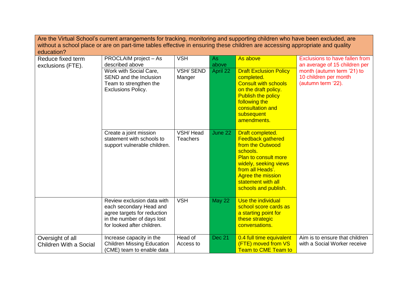| Are the Virtual School's current arrangements for tracking, monitoring and supporting children who have been excluded, are   |                                                                                                                                                  |                             |               |                                                                                                                                                                                                                                    |                                                                           |  |  |  |
|------------------------------------------------------------------------------------------------------------------------------|--------------------------------------------------------------------------------------------------------------------------------------------------|-----------------------------|---------------|------------------------------------------------------------------------------------------------------------------------------------------------------------------------------------------------------------------------------------|---------------------------------------------------------------------------|--|--|--|
| without a school place or are on part-time tables effective in ensuring these children are accessing appropriate and quality |                                                                                                                                                  |                             |               |                                                                                                                                                                                                                                    |                                                                           |  |  |  |
| education?                                                                                                                   |                                                                                                                                                  |                             |               |                                                                                                                                                                                                                                    |                                                                           |  |  |  |
| Reduce fixed term<br>exclusions (FTE).                                                                                       | PROCLAIM project - As<br>described above                                                                                                         | <b>VSH</b>                  | As<br>above   | As above                                                                                                                                                                                                                           | Exclusions to have fallen from<br>an average of 15 children per           |  |  |  |
|                                                                                                                              | Work with Social Care,<br>SEND and the Inclusion<br>Team to strengthen the<br><b>Exclusions Policy.</b>                                          | <b>VSH/SEND</b><br>Manger   | April 22      | <b>Draft Exclusion Policy</b><br>completed.<br><b>Consult with schools</b><br>on the draft policy.<br><b>Publish the policy</b><br>following the<br>consultation and<br>subsequent<br>amendments.                                  | month (autumn term '21) to<br>10 children per month<br>(autumn term '22). |  |  |  |
|                                                                                                                              | Create a joint mission<br>statement with schools to<br>support vulnerable children.                                                              | VSH/Head<br><b>Teachers</b> | June 22       | Draft completed.<br><b>Feedback gathered</b><br>from the Outwood<br>schools.<br><b>Plan to consult more</b><br>widely, seeking views<br>from all Heads'.<br><b>Agree the mission</b><br>statement with all<br>schools and publish. |                                                                           |  |  |  |
|                                                                                                                              | Review exclusion data with<br>each secondary Head and<br>agree targets for reduction<br>in the number of days lost<br>for looked after children. | <b>VSH</b>                  | <b>May 22</b> | Use the individual<br>school score cards as<br>a starting point for<br>these strategic<br>conversations.                                                                                                                           |                                                                           |  |  |  |
| Oversight of all<br>Children With a Social                                                                                   | Increase capacity in the<br><b>Children Missing Education</b><br>(CME) team to enable data                                                       | Head of<br>Access to        | <b>Dec 21</b> | 0.4 full time equivalent<br>(FTE) moved from VS<br><b>Team to CME Team to</b>                                                                                                                                                      | Aim is to ensure that children<br>with a Social Worker receive            |  |  |  |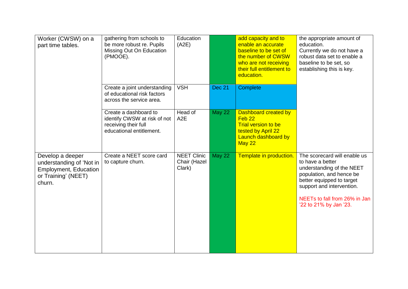| Worker (CWSW) on a<br>part time tables.                                                                       | gathering from schools to<br>be more robust re. Pupils<br>Missing Out On Education<br>(PMOOE).            | Education<br>(A2E)                           |               | add capacity and to<br>enable an accurate<br>baseline to be set of<br>the number of CWSW<br>who are not receiving<br>their full entitlement to<br>education. | the appropriate amount of<br>education.<br>Currently we do not have a<br>robust data set to enable a<br>baseline to be set, so<br>establishing this is key.                                                                    |
|---------------------------------------------------------------------------------------------------------------|-----------------------------------------------------------------------------------------------------------|----------------------------------------------|---------------|--------------------------------------------------------------------------------------------------------------------------------------------------------------|--------------------------------------------------------------------------------------------------------------------------------------------------------------------------------------------------------------------------------|
|                                                                                                               | Create a joint understanding<br>of educational risk factors<br>across the service area.                   | <b>VSH</b>                                   | Dec 21        | Complete                                                                                                                                                     |                                                                                                                                                                                                                                |
|                                                                                                               | Create a dashboard to<br>identify CWSW at risk of not<br>receiving their full<br>educational entitlement. | Head of<br>A <sub>2</sub> E                  | <b>May 22</b> | Dashboard created by<br>Feb <sub>22</sub><br><b>Trial version to be</b><br>tested by April 22<br>Launch dashboard by<br>May 22                               |                                                                                                                                                                                                                                |
| Develop a deeper<br>understanding of 'Not in<br><b>Employment, Education</b><br>or Training' (NEET)<br>churn. | Create a NEET score card<br>to capture churn.                                                             | <b>NEET Clinic</b><br>Chair (Hazel<br>Clark) | <b>May 22</b> | Template in production.                                                                                                                                      | The scorecard will enable us<br>to have a better<br>understanding of the NEET<br>population, and hence be<br>better equipped to target<br>support and intervention.<br>NEETs to fall from 26% in Jan<br>'22 to 21% by Jan '23. |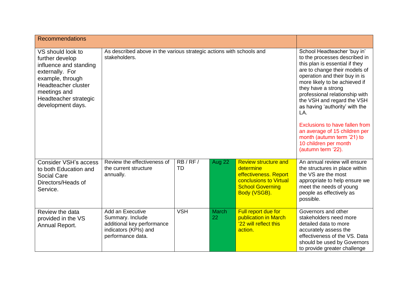| <b>Recommendations</b>                                                                                                                                                                     |                                                                                                                  |                                                                                                                                                                                                                                                                                                                                                                                                                                                                                  |             |                                                                                                                                        |                                                                                                                                                                                                 |
|--------------------------------------------------------------------------------------------------------------------------------------------------------------------------------------------|------------------------------------------------------------------------------------------------------------------|----------------------------------------------------------------------------------------------------------------------------------------------------------------------------------------------------------------------------------------------------------------------------------------------------------------------------------------------------------------------------------------------------------------------------------------------------------------------------------|-------------|----------------------------------------------------------------------------------------------------------------------------------------|-------------------------------------------------------------------------------------------------------------------------------------------------------------------------------------------------|
| VS should look to<br>further develop<br>influence and standing<br>externally. For<br>example, through<br>Headteacher cluster<br>meetings and<br>Headteacher strategic<br>development days. | As described above in the various strategic actions with schools and<br>stakeholders.                            | School Headteacher 'buy in'<br>to the processes described in<br>this plan is essential if they<br>are to change their models of<br>operation and their buy in is<br>more likely to be achieved if<br>they have a strong<br>professional relationship with<br>the VSH and regard the VSH<br>as having 'authority' with the<br>LA.<br>Exclusions to have fallen from<br>an average of 15 children per<br>month (autumn term '21) to<br>10 children per month<br>(autumn term '22). |             |                                                                                                                                        |                                                                                                                                                                                                 |
| <b>Consider VSH's access</b><br>to both Education and<br><b>Social Care</b><br>Directors/Heads of<br>Service.                                                                              | Review the effectiveness of<br>the current structure<br>annually.                                                | RB/RF/<br>TD                                                                                                                                                                                                                                                                                                                                                                                                                                                                     | Aug 22      | <b>Review structure and</b><br>determine<br>effectiveness. Report<br>conclusions to Virtual<br><b>School Governing</b><br>Body (VSGB). | An annual review will ensure<br>the structures in place within<br>the VS are the most<br>appropriate to help ensure we<br>meet the needs of young<br>people as effectively as<br>possible.      |
| Review the data<br>provided in the VS<br>Annual Report.                                                                                                                                    | Add an Executive<br>Summary. Include<br>additional key performance<br>indicators (KPIs) and<br>performance data. | <b>VSH</b>                                                                                                                                                                                                                                                                                                                                                                                                                                                                       | March<br>22 | Full report due for<br>publication in March<br>'22 will reflect this<br>action.                                                        | Governors and other<br>stakeholders need more<br>detailed data to more<br>accurately assess the<br>effectiveness of the VS. Data<br>should be used by Governors<br>to provide greater challenge |